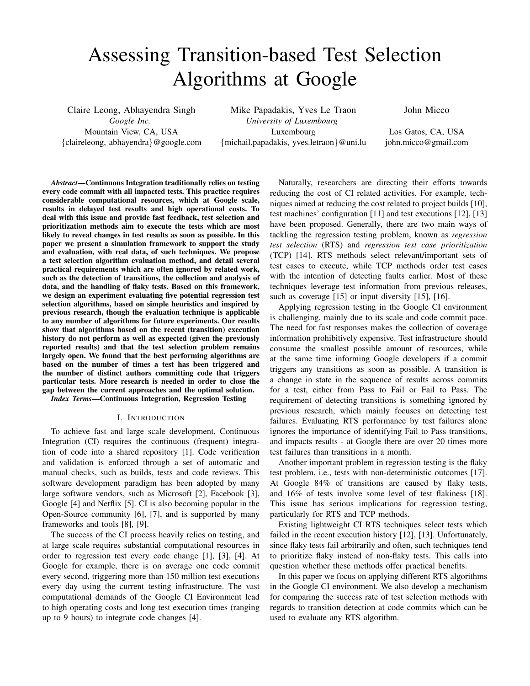# Assessing Transition-based Test Selection Algorithms at Google

Claire Leong, Abhayendra Singh *Google Inc.* Mountain View, CA, USA {claireleong, abhayendra}@google.com

Mike Papadakis, Yves Le Traon *University of Luxembourg* Luxembourg {michail.papadakis, yves.letraon}@uni.lu John Micco

Los Gatos, CA, USA john.micco@gmail.com

*Abstract*—Continuous Integration traditionally relies on testing every code commit with all impacted tests. This practice requires considerable computational resources, which at Google scale, results in delayed test results and high operational costs. To deal with this issue and provide fast feedback, test selection and prioritization methods aim to execute the tests which are most likely to reveal changes in test results as soon as possible. In this paper we present a simulation framework to support the study and evaluation, with real data, of such techniques. We propose a test selection algorithm evaluation method, and detail several practical requirements which are often ignored by related work, such as the detection of transitions, the collection and analysis of data, and the handling of flaky tests. Based on this framework, we design an experiment evaluating five potential regression test selection algorithms, based on simple heuristics and inspired by previous research, though the evaluation technique is applicable to any number of algorithms for future experiments. Our results show that algorithms based on the recent (transition) execution history do not perform as well as expected (given the previously reported results) and that the test selection problem remains largely open. We found that the best performing algorithms are based on the number of times a test has been triggered and the number of distinct authors committing code that triggers particular tests. More research is needed in order to close the gap between the current approaches and the optimal solution.

*Index Terms*—Continuous Integration, Regression Testing

#### I. INTRODUCTION

To achieve fast and large scale development, Continuous Integration (CI) requires the continuous (frequent) integration of code into a shared repository [1]. Code verification and validation is enforced through a set of automatic and manual checks, such as builds, tests and code reviews. This software development paradigm has been adopted by many large software vendors, such as Microsoft [2], Facebook [3], Google [4] and Netflix [5]. CI is also becoming popular in the Open-Source community [6], [7], and is supported by many frameworks and tools [8], [9].

The success of the CI process heavily relies on testing, and at large scale requires substantial computational resources in order to regression test every code change [1], [3], [4]. At Google for example, there is on average one code commit every second, triggering more than 150 million test executions every day using the current testing infrastructure. The vast computational demands of the Google CI Environment lead to high operating costs and long test execution times (ranging up to 9 hours) to integrate code changes [4].

Naturally, researchers are directing their efforts towards reducing the cost of CI related activities. For example, techniques aimed at reducing the cost related to project builds [10], test machines' configuration [11] and test executions [12], [13] have been proposed. Generally, there are two main ways of tackling the regression testing problem, known as *regression test selection* (RTS) and *regression test case prioritization* (TCP) [14]. RTS methods select relevant/important sets of test cases to execute, while TCP methods order test cases with the intention of detecting faults earlier. Most of these techniques leverage test information from previous releases, such as coverage [15] or input diversity [15], [16].

Applying regression testing in the Google CI environment is challenging, mainly due to its scale and code commit pace. The need for fast responses makes the collection of coverage information prohibitively expensive. Test infrastructure should consume the smallest possible amount of resources, while at the same time informing Google developers if a commit triggers any transitions as soon as possible. A transition is a change in state in the sequence of results across commits for a test, either from Pass to Fail or Fail to Pass. The requirement of detecting transitions is something ignored by previous research, which mainly focuses on detecting test failures. Evaluating RTS performance by test failures alone ignores the importance of identifying Fail to Pass transitions, and impacts results - at Google there are over 20 times more test failures than transitions in a month.

Another important problem in regression testing is the flaky test problem, i.e., tests with non-deterministic outcomes [17]. At Google 84% of transitions are caused by flaky tests, and 16% of tests involve some level of test flakiness [18]. This issue has serious implications for regression testing, particularly for RTS and TCP methods.

Existing lightweight CI RTS techniques select tests which failed in the recent execution history [12], [13]. Unfortunately, since flaky tests fail arbitrarily and often, such techniques tend to prioritize flaky instead of non-flaky tests. This calls into question whether these methods offer practical benefits.

In this paper we focus on applying different RTS algorithms in the Google CI environment. We also develop a mechanism for comparing the success rate of test selection methods with regards to transition detection at code commits which can be used to evaluate any RTS algorithm.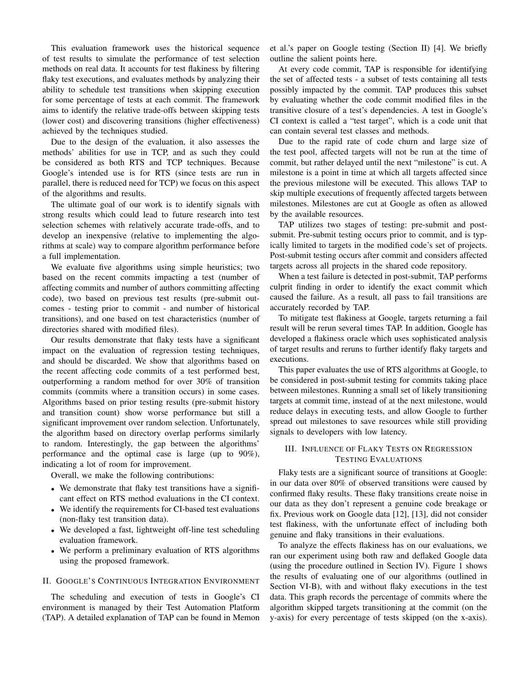This evaluation framework uses the historical sequence of test results to simulate the performance of test selection methods on real data. It accounts for test flakiness by filtering flaky test executions, and evaluates methods by analyzing their ability to schedule test transitions when skipping execution for some percentage of tests at each commit. The framework aims to identify the relative trade-offs between skipping tests (lower cost) and discovering transitions (higher effectiveness) achieved by the techniques studied.

Due to the design of the evaluation, it also assesses the methods' abilities for use in TCP, and as such they could be considered as both RTS and TCP techniques. Because Google's intended use is for RTS (since tests are run in parallel, there is reduced need for TCP) we focus on this aspect of the algorithms and results.

The ultimate goal of our work is to identify signals with strong results which could lead to future research into test selection schemes with relatively accurate trade-offs, and to develop an inexpensive (relative to implementing the algorithms at scale) way to compare algorithm performance before a full implementation.

We evaluate five algorithms using simple heuristics; two based on the recent commits impacting a test (number of affecting commits and number of authors committing affecting code), two based on previous test results (pre-submit outcomes - testing prior to commit - and number of historical transitions), and one based on test characteristics (number of directories shared with modified files).

Our results demonstrate that flaky tests have a significant impact on the evaluation of regression testing techniques, and should be discarded. We show that algorithms based on the recent affecting code commits of a test performed best, outperforming a random method for over 30% of transition commits (commits where a transition occurs) in some cases. Algorithms based on prior testing results (pre-submit history and transition count) show worse performance but still a significant improvement over random selection. Unfortunately, the algorithm based on directory overlap performs similarly to random. Interestingly, the gap between the algorithms' performance and the optimal case is large (up to 90%), indicating a lot of room for improvement.

Overall, we make the following contributions:

- We demonstrate that flaky test transitions have a significant effect on RTS method evaluations in the CI context.
- We identify the requirements for CI-based test evaluations (non-flaky test transition data).
- We developed a fast, lightweight off-line test scheduling evaluation framework.
- We perform a preliminary evaluation of RTS algorithms using the proposed framework.

#### II. GOOGLE'S CONTINUOUS INTEGRATION ENVIRONMENT

The scheduling and execution of tests in Google's CI environment is managed by their Test Automation Platform (TAP). A detailed explanation of TAP can be found in Memon

et al.'s paper on Google testing (Section II) [4]. We briefly outline the salient points here.

At every code commit, TAP is responsible for identifying the set of affected tests - a subset of tests containing all tests possibly impacted by the commit. TAP produces this subset by evaluating whether the code commit modified files in the transitive closure of a test's dependencies. A test in Google's CI context is called a "test target", which is a code unit that can contain several test classes and methods.

Due to the rapid rate of code churn and large size of the test pool, affected targets will not be run at the time of commit, but rather delayed until the next "milestone" is cut. A milestone is a point in time at which all targets affected since the previous milestone will be executed. This allows TAP to skip multiple executions of frequently affected targets between milestones. Milestones are cut at Google as often as allowed by the available resources.

TAP utilizes two stages of testing: pre-submit and postsubmit. Pre-submit testing occurs prior to commit, and is typically limited to targets in the modified code's set of projects. Post-submit testing occurs after commit and considers affected targets across all projects in the shared code repository.

When a test failure is detected in post-submit, TAP performs culprit finding in order to identify the exact commit which caused the failure. As a result, all pass to fail transitions are accurately recorded by TAP.

To mitigate test flakiness at Google, targets returning a fail result will be rerun several times TAP. In addition, Google has developed a flakiness oracle which uses sophisticated analysis of target results and reruns to further identify flaky targets and executions.

This paper evaluates the use of RTS algorithms at Google, to be considered in post-submit testing for commits taking place between milestones. Running a small set of likely transitioning targets at commit time, instead of at the next milestone, would reduce delays in executing tests, and allow Google to further spread out milestones to save resources while still providing signals to developers with low latency.

# III. INFLUENCE OF FLAKY TESTS ON REGRESSION TESTING EVALUATIONS

Flaky tests are a significant source of transitions at Google: in our data over 80% of observed transitions were caused by confirmed flaky results. These flaky transitions create noise in our data as they don't represent a genuine code breakage or fix. Previous work on Google data [12], [13], did not consider test flakiness, with the unfortunate effect of including both genuine and flaky transitions in their evaluations.

To analyze the effects flakiness has on our evaluations, we ran our experiment using both raw and deflaked Google data (using the procedure outlined in Section IV). Figure 1 shows the results of evaluating one of our algorithms (outlined in Section VI-B), with and without flaky executions in the test data. This graph records the percentage of commits where the algorithm skipped targets transitioning at the commit (on the y-axis) for every percentage of tests skipped (on the x-axis).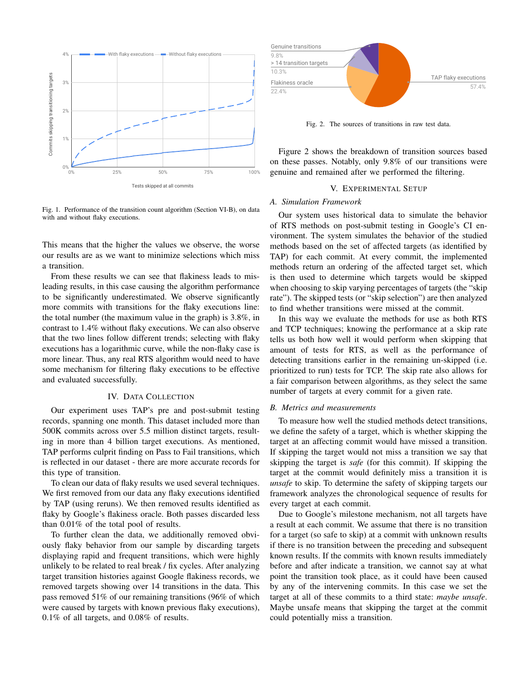

Fig. 1. Performance of the transition count algorithm (Section VI-B), on data with and without flaky executions.

This means that the higher the values we observe, the worse our results are as we want to minimize selections which miss a transition.

From these results we can see that flakiness leads to misleading results, in this case causing the algorithm performance to be significantly underestimated. We observe significantly more commits with transitions for the flaky executions line: the total number (the maximum value in the graph) is 3.8%, in contrast to 1.4% without flaky executions. We can also observe that the two lines follow different trends; selecting with flaky executions has a logarithmic curve, while the non-flaky case is more linear. Thus, any real RTS algorithm would need to have some mechanism for filtering flaky executions to be effective and evaluated successfully.

## IV. DATA COLLECTION

Our experiment uses TAP's pre and post-submit testing records, spanning one month. This dataset included more than 500K commits across over 5.5 million distinct targets, resulting in more than 4 billion target executions. As mentioned, TAP performs culprit finding on Pass to Fail transitions, which is reflected in our dataset - there are more accurate records for this type of transition.

To clean our data of flaky results we used several techniques. We first removed from our data any flaky executions identified by TAP (using reruns). We then removed results identified as flaky by Google's flakiness oracle. Both passes discarded less than 0.01% of the total pool of results.

To further clean the data, we additionally removed obviously flaky behavior from our sample by discarding targets displaying rapid and frequent transitions, which were highly unlikely to be related to real break / fix cycles. After analyzing target transition histories against Google flakiness records, we removed targets showing over 14 transitions in the data. This pass removed 51% of our remaining transitions (96% of which were caused by targets with known previous flaky executions), 0.1% of all targets, and 0.08% of results.



Fig. 2. The sources of transitions in raw test data.

Figure 2 shows the breakdown of transition sources based on these passes. Notably, only 9.8% of our transitions were genuine and remained after we performed the filtering.

#### V. EXPERIMENTAL SETUP

#### *A. Simulation Framework*

Our system uses historical data to simulate the behavior of RTS methods on post-submit testing in Google's CI environment. The system simulates the behavior of the studied methods based on the set of affected targets (as identified by TAP) for each commit. At every commit, the implemented methods return an ordering of the affected target set, which is then used to determine which targets would be skipped when choosing to skip varying percentages of targets (the "skip rate"). The skipped tests (or "skip selection") are then analyzed to find whether transitions were missed at the commit.

In this way we evaluate the methods for use as both RTS and TCP techniques; knowing the performance at a skip rate tells us both how well it would perform when skipping that amount of tests for RTS, as well as the performance of detecting transitions earlier in the remaining un-skipped (i.e. prioritized to run) tests for TCP. The skip rate also allows for a fair comparison between algorithms, as they select the same number of targets at every commit for a given rate.

# *B. Metrics and measurements*

To measure how well the studied methods detect transitions, we define the safety of a target, which is whether skipping the target at an affecting commit would have missed a transition. If skipping the target would not miss a transition we say that skipping the target is *safe* (for this commit). If skipping the target at the commit would definitely miss a transition it is *unsafe* to skip. To determine the safety of skipping targets our framework analyzes the chronological sequence of results for every target at each commit.

Due to Google's milestone mechanism, not all targets have a result at each commit. We assume that there is no transition for a target (so safe to skip) at a commit with unknown results if there is no transition between the preceding and subsequent known results. If the commits with known results immediately before and after indicate a transition, we cannot say at what point the transition took place, as it could have been caused by any of the intervening commits. In this case we set the target at all of these commits to a third state: *maybe unsafe*. Maybe unsafe means that skipping the target at the commit could potentially miss a transition.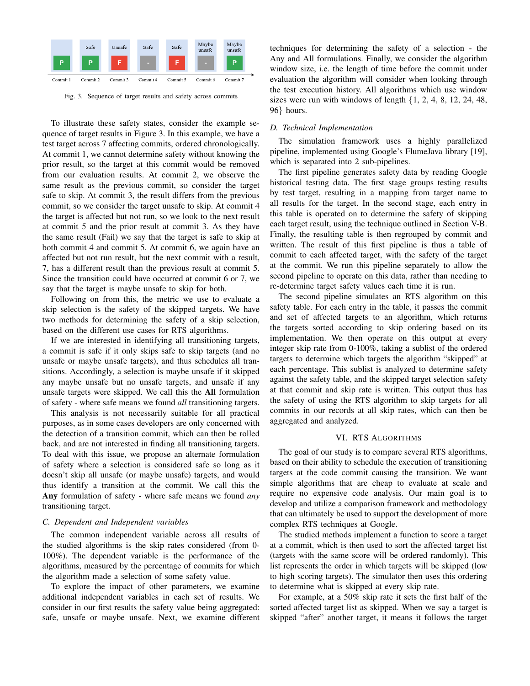

Fig. 3. Sequence of target results and safety across commits

To illustrate these safety states, consider the example sequence of target results in Figure 3. In this example, we have a test target across 7 affecting commits, ordered chronologically. At commit 1, we cannot determine safety without knowing the prior result, so the target at this commit would be removed from our evaluation results. At commit 2, we observe the same result as the previous commit, so consider the target safe to skip. At commit 3, the result differs from the previous commit, so we consider the target unsafe to skip. At commit 4 the target is affected but not run, so we look to the next result at commit 5 and the prior result at commit 3. As they have the same result (Fail) we say that the target is safe to skip at both commit 4 and commit 5. At commit 6, we again have an affected but not run result, but the next commit with a result, 7, has a different result than the previous result at commit 5. Since the transition could have occurred at commit 6 or 7, we say that the target is maybe unsafe to skip for both.

Following on from this, the metric we use to evaluate a skip selection is the safety of the skipped targets. We have two methods for determining the safety of a skip selection, based on the different use cases for RTS algorithms.

If we are interested in identifying all transitioning targets, a commit is safe if it only skips safe to skip targets (and no unsafe or maybe unsafe targets), and thus schedules all transitions. Accordingly, a selection is maybe unsafe if it skipped any maybe unsafe but no unsafe targets, and unsafe if any unsafe targets were skipped. We call this the All formulation of safety - where safe means we found *all* transitioning targets.

This analysis is not necessarily suitable for all practical purposes, as in some cases developers are only concerned with the detection of a transition commit, which can then be rolled back, and are not interested in finding all transitioning targets. To deal with this issue, we propose an alternate formulation of safety where a selection is considered safe so long as it doesn't skip all unsafe (or maybe unsafe) targets, and would thus identify a transition at the commit. We call this the Any formulation of safety - where safe means we found *any* transitioning target.

#### *C. Dependent and Independent variables*

The common independent variable across all results of the studied algorithms is the skip rates considered (from 0- 100%). The dependent variable is the performance of the algorithms, measured by the percentage of commits for which the algorithm made a selection of some safety value.

To explore the impact of other parameters, we examine additional independent variables in each set of results. We consider in our first results the safety value being aggregated: safe, unsafe or maybe unsafe. Next, we examine different techniques for determining the safety of a selection - the Any and All formulations. Finally, we consider the algorithm window size, i.e. the length of time before the commit under evaluation the algorithm will consider when looking through the test execution history. All algorithms which use window sizes were run with windows of length  $\{1, 2, 4, 8, 12, 24, 48,$ 96} hours.

# *D. Technical Implementation*

The simulation framework uses a highly parallelized pipeline, implemented using Google's FlumeJava library [19], which is separated into 2 sub-pipelines.

The first pipeline generates safety data by reading Google historical testing data. The first stage groups testing results by test target, resulting in a mapping from target name to all results for the target. In the second stage, each entry in this table is operated on to determine the safety of skipping each target result, using the technique outlined in Section V-B. Finally, the resulting table is then regrouped by commit and written. The result of this first pipeline is thus a table of commit to each affected target, with the safety of the target at the commit. We run this pipeline separately to allow the second pipeline to operate on this data, rather than needing to re-determine target safety values each time it is run.

The second pipeline simulates an RTS algorithm on this safety table. For each entry in the table, it passes the commit and set of affected targets to an algorithm, which returns the targets sorted according to skip ordering based on its implementation. We then operate on this output at every integer skip rate from 0-100%, taking a sublist of the ordered targets to determine which targets the algorithm "skipped" at each percentage. This sublist is analyzed to determine safety against the safety table, and the skipped target selection safety at that commit and skip rate is written. This output thus has the safety of using the RTS algorithm to skip targets for all commits in our records at all skip rates, which can then be aggregated and analyzed.

#### VI. RTS ALGORITHMS

The goal of our study is to compare several RTS algorithms, based on their ability to schedule the execution of transitioning targets at the code commit causing the transition. We want simple algorithms that are cheap to evaluate at scale and require no expensive code analysis. Our main goal is to develop and utilize a comparison framework and methodology that can ultimately be used to support the development of more complex RTS techniques at Google.

The studied methods implement a function to score a target at a commit, which is then used to sort the affected target list (targets with the same score will be ordered randomly). This list represents the order in which targets will be skipped (low to high scoring targets). The simulator then uses this ordering to determine what is skipped at every skip rate.

For example, at a 50% skip rate it sets the first half of the sorted affected target list as skipped. When we say a target is skipped "after" another target, it means it follows the target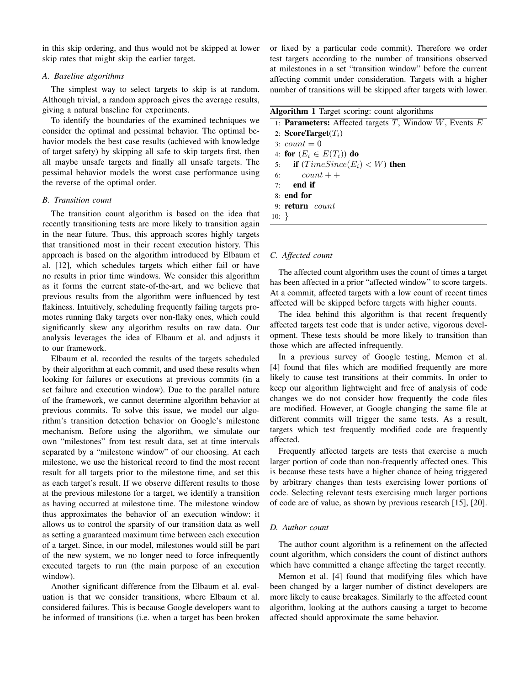in this skip ordering, and thus would not be skipped at lower skip rates that might skip the earlier target.

## *A. Baseline algorithms*

The simplest way to select targets to skip is at random. Although trivial, a random approach gives the average results, giving a natural baseline for experiments.

To identify the boundaries of the examined techniques we consider the optimal and pessimal behavior. The optimal behavior models the best case results (achieved with knowledge of target safety) by skipping all safe to skip targets first, then all maybe unsafe targets and finally all unsafe targets. The pessimal behavior models the worst case performance using the reverse of the optimal order.

## *B. Transition count*

The transition count algorithm is based on the idea that recently transitioning tests are more likely to transition again in the near future. Thus, this approach scores highly targets that transitioned most in their recent execution history. This approach is based on the algorithm introduced by Elbaum et al. [12], which schedules targets which either fail or have no results in prior time windows. We consider this algorithm as it forms the current state-of-the-art, and we believe that previous results from the algorithm were influenced by test flakiness. Intuitively, scheduling frequently failing targets promotes running flaky targets over non-flaky ones, which could significantly skew any algorithm results on raw data. Our analysis leverages the idea of Elbaum et al. and adjusts it to our framework.

Elbaum et al. recorded the results of the targets scheduled by their algorithm at each commit, and used these results when looking for failures or executions at previous commits (in a set failure and execution window). Due to the parallel nature of the framework, we cannot determine algorithm behavior at previous commits. To solve this issue, we model our algorithm's transition detection behavior on Google's milestone mechanism. Before using the algorithm, we simulate our own "milestones" from test result data, set at time intervals separated by a "milestone window" of our choosing. At each milestone, we use the historical record to find the most recent result for all targets prior to the milestone time, and set this as each target's result. If we observe different results to those at the previous milestone for a target, we identify a transition as having occurred at milestone time. The milestone window thus approximates the behavior of an execution window: it allows us to control the sparsity of our transition data as well as setting a guaranteed maximum time between each execution of a target. Since, in our model, milestones would still be part of the new system, we no longer need to force infrequently executed targets to run (the main purpose of an execution window).

Another significant difference from the Elbaum et al. evaluation is that we consider transitions, where Elbaum et al. considered failures. This is because Google developers want to be informed of transitions (i.e. when a target has been broken or fixed by a particular code commit). Therefore we order test targets according to the number of transitions observed at milestones in a set "transition window" before the current affecting commit under consideration. Targets with a higher number of transitions will be skipped after targets with lower.

| Algorithm 1 Target scoring: count algorithms |  |  |  |  |
|----------------------------------------------|--|--|--|--|
|----------------------------------------------|--|--|--|--|

|          | 1: <b>Parameters:</b> Affected targets $T$ , Window $W$ , Events $E$ |
|----------|----------------------------------------------------------------------|
|          | 2: ScoreTarget $(T_i)$                                               |
|          | 3: $count = 0$                                                       |
|          | 4: for $(E_i \in E(T_i))$ do                                         |
|          | 5: if $(TimeSince (E_i) < W)$ then                                   |
|          | 6: $count++$                                                         |
|          | $7:$ end if                                                          |
|          | 8: end for                                                           |
|          | 9: return count                                                      |
| $10: \}$ |                                                                      |

#### *C. Affected count*

The affected count algorithm uses the count of times a target has been affected in a prior "affected window" to score targets. At a commit, affected targets with a low count of recent times affected will be skipped before targets with higher counts.

The idea behind this algorithm is that recent frequently affected targets test code that is under active, vigorous development. These tests should be more likely to transition than those which are affected infrequently.

In a previous survey of Google testing, Memon et al. [4] found that files which are modified frequently are more likely to cause test transitions at their commits. In order to keep our algorithm lightweight and free of analysis of code changes we do not consider how frequently the code files are modified. However, at Google changing the same file at different commits will trigger the same tests. As a result, targets which test frequently modified code are frequently affected.

Frequently affected targets are tests that exercise a much larger portion of code than non-frequently affected ones. This is because these tests have a higher chance of being triggered by arbitrary changes than tests exercising lower portions of code. Selecting relevant tests exercising much larger portions of code are of value, as shown by previous research [15], [20].

#### *D. Author count*

The author count algorithm is a refinement on the affected count algorithm, which considers the count of distinct authors which have committed a change affecting the target recently.

Memon et al. [4] found that modifying files which have been changed by a larger number of distinct developers are more likely to cause breakages. Similarly to the affected count algorithm, looking at the authors causing a target to become affected should approximate the same behavior.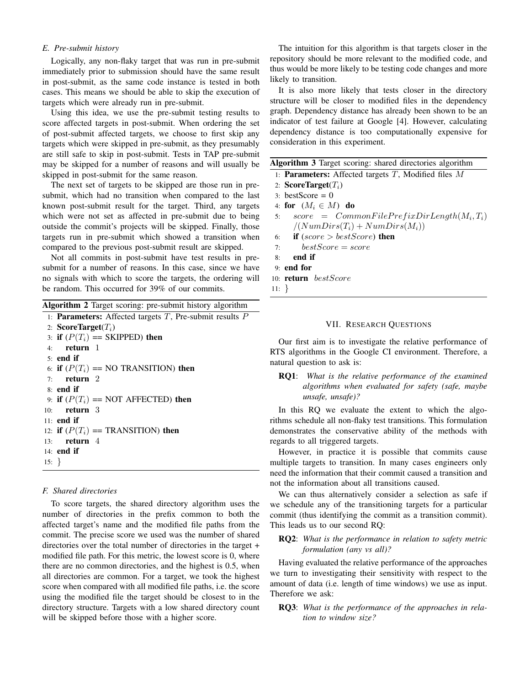# *E. Pre-submit history*

Logically, any non-flaky target that was run in pre-submit immediately prior to submission should have the same result in post-submit, as the same code instance is tested in both cases. This means we should be able to skip the execution of targets which were already run in pre-submit.

Using this idea, we use the pre-submit testing results to score affected targets in post-submit. When ordering the set of post-submit affected targets, we choose to first skip any targets which were skipped in pre-submit, as they presumably are still safe to skip in post-submit. Tests in TAP pre-submit may be skipped for a number of reasons and will usually be skipped in post-submit for the same reason.

The next set of targets to be skipped are those run in presubmit, which had no transition when compared to the last known post-submit result for the target. Third, any targets which were not set as affected in pre-submit due to being outside the commit's projects will be skipped. Finally, those targets run in pre-submit which showed a transition when compared to the previous post-submit result are skipped.

Not all commits in post-submit have test results in presubmit for a number of reasons. In this case, since we have no signals with which to score the targets, the ordering will be random. This occurred for 39% of our commits.

Algorithm 2 Target scoring: pre-submit history algorithm

```
1: Parameters: Affected targets T, Pre-submit results P2: ScoreTarget(T_i)3: if (P(T_i)) == SKIPPED) then
4: return 1
5: end if
6: if (P(T_i) == \text{NO TRANSITION}) then
7: return 2
8: end if
9: if (P(T_i)) == NOT AFFECTED) then
10: return 3
11: end if
12: if (P(T_i)) == TRANSITION) then
13: return 4
14: end if
15: }
```
# *F. Shared directories*

To score targets, the shared directory algorithm uses the number of directories in the prefix common to both the affected target's name and the modified file paths from the commit. The precise score we used was the number of shared directories over the total number of directories in the target + modified file path. For this metric, the lowest score is 0, where there are no common directories, and the highest is 0.5, when all directories are common. For a target, we took the highest score when compared with all modified file paths, i.e. the score using the modified file the target should be closest to in the directory structure. Targets with a low shared directory count will be skipped before those with a higher score.

The intuition for this algorithm is that targets closer in the repository should be more relevant to the modified code, and thus would be more likely to be testing code changes and more likely to transition.

It is also more likely that tests closer in the directory structure will be closer to modified files in the dependency graph. Dependency distance has already been shown to be an indicator of test failure at Google [4]. However, calculating dependency distance is too computationally expensive for consideration in this experiment.

| Algorithm 3 Target scoring: shared directories algorithm |  |  |  |
|----------------------------------------------------------|--|--|--|
|                                                          |  |  |  |

|             | <b>Algorithm 5</b> Target scoring: snared directories algorithm |
|-------------|-----------------------------------------------------------------|
|             | 1: <b>Parameters:</b> Affected targets $T$ , Modified files $M$ |
|             | 2: ScoreTarget $(T_i)$                                          |
|             | $3: bestScore = 0$                                              |
|             | 4: for $(M_i \in M)$ do                                         |
| 5:          | $score = CommonFilePrefixDirLength(M_i, T_i)$                   |
|             | $/(NumDirs(T_i) + NumDirs(M_i))$                                |
|             | 6: if $(score > bestScore)$ then                                |
| 7:          | $bestScore = score$                                             |
| 8:          | end if                                                          |
|             | $9:$ end for                                                    |
|             | 10: <b>return</b> bestScore                                     |
| $11: \; \;$ |                                                                 |
|             |                                                                 |

# VII. RESEARCH QUESTIONS

Our first aim is to investigate the relative performance of RTS algorithms in the Google CI environment. Therefore, a natural question to ask is:

RQ1: *What is the relative performance of the examined algorithms when evaluated for safety (safe, maybe unsafe, unsafe)?*

In this RQ we evaluate the extent to which the algorithms schedule all non-flaky test transitions. This formulation demonstrates the conservative ability of the methods with regards to all triggered targets.

However, in practice it is possible that commits cause multiple targets to transition. In many cases engineers only need the information that their commit caused a transition and not the information about all transitions caused.

We can thus alternatively consider a selection as safe if we schedule any of the transitioning targets for a particular commit (thus identifying the commit as a transition commit). This leads us to our second RQ:

# RQ2: *What is the performance in relation to safety metric formulation (any vs all)?*

Having evaluated the relative performance of the approaches we turn to investigating their sensitivity with respect to the amount of data (i.e. length of time windows) we use as input. Therefore we ask:

RQ3: *What is the performance of the approaches in relation to window size?*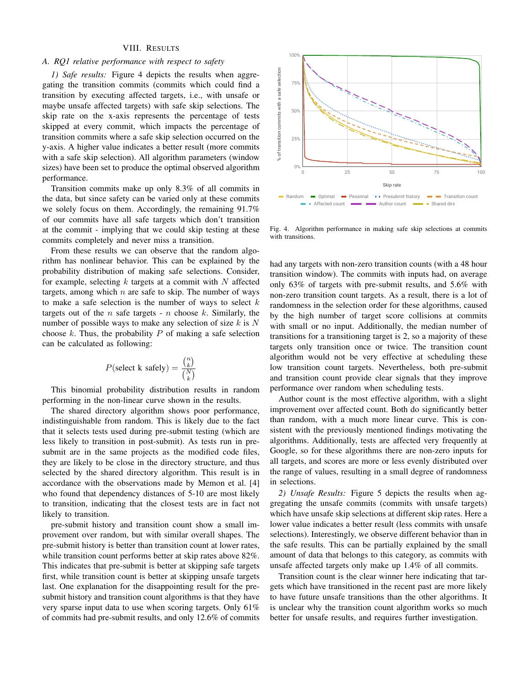#### VIII. RESULTS

# *A. RQ1 relative performance with respect to safety*

*1) Safe results:* Figure 4 depicts the results when aggregating the transition commits (commits which could find a transition by executing affected targets, i.e., with unsafe or maybe unsafe affected targets) with safe skip selections. The skip rate on the x-axis represents the percentage of tests skipped at every commit, which impacts the percentage of transition commits where a safe skip selection occurred on the y-axis. A higher value indicates a better result (more commits with a safe skip selection). All algorithm parameters (window sizes) have been set to produce the optimal observed algorithm performance.

Transition commits make up only 8.3% of all commits in the data, but since safety can be varied only at these commits we solely focus on them. Accordingly, the remaining 91.7% of our commits have all safe targets which don't transition at the commit - implying that we could skip testing at these commits completely and never miss a transition.

From these results we can observe that the random algorithm has nonlinear behavior. This can be explained by the probability distribution of making safe selections. Consider, for example, selecting  $k$  targets at a commit with  $N$  affected targets, among which  $n$  are safe to skip. The number of ways to make a safe selection is the number of ways to select  $k$ targets out of the *n* safe targets - *n* choose  $k$ . Similarly, the number of possible ways to make any selection of size  $k$  is  $N$ choose  $k$ . Thus, the probability  $P$  of making a safe selection can be calculated as following:

$$
P(\text{select k safely}) = \frac{\binom{n}{k}}{\binom{N}{k}}
$$

This binomial probability distribution results in random performing in the non-linear curve shown in the results.

The shared directory algorithm shows poor performance, indistinguishable from random. This is likely due to the fact that it selects tests used during pre-submit testing (which are less likely to transition in post-submit). As tests run in presubmit are in the same projects as the modified code files, they are likely to be close in the directory structure, and thus selected by the shared directory algorithm. This result is in accordance with the observations made by Memon et al. [4] who found that dependency distances of 5-10 are most likely to transition, indicating that the closest tests are in fact not likely to transition. Transition commits make up only 8.3% of all commits in the result of the commits of commits and the commits have the state in the commits of original to the commits have the state in the commits only the remaining 91.7% o

pre-submit history and transition count show a small improvement over random, but with similar overall shapes. The pre-submit history is better than transition count at lower rates, while transition count performs better at skip rates above 82%. This indicates that pre-submit is better at skipping safe targets first, while transition count is better at skipping unsafe targets last. One explanation for the disappointing result for the presubmit history and transition count algorithms is that they have very sparse input data to use when scoring targets. Only 61%



Fig. 4. Algorithm performance in making safe skip selections at commits with transitions

had any targets with non-zero transition counts (with a 48 hour transition window). The commits with inputs had, on average only 63% of targets with pre-submit results, and 5.6% with non-zero transition count targets. As a result, there is a lot of randomness in the selection order for these algorithms, caused by the high number of target score collisions at commits with small or no input. Additionally, the median number of transitions for a transitioning target is 2, so a majority of these targets only transition once or twice. The transition count algorithm would not be very effective at scheduling these low transition count targets. Nevertheless, both pre-submit and transition count provide clear signals that they improve performance over random when scheduling tests.

Author count is the most effective algorithm, with a slight improvement over affected count. Both do significantly better than random, with a much more linear curve. This is consistent with the previously mentioned findings motivating the algorithms. Additionally, tests are affected very frequently at Google, so for these algorithms there are non-zero inputs for all targets, and scores are more or less evenly distributed over the range of values, resulting in a small degree of randomness in selections.

*2) Unsafe Results:* Figure 5 depicts the results when aggregating the unsafe commits (commits with unsafe targets) which have unsafe skip selections at different skip rates. Here a lower value indicates a better result (less commits with unsafe selections). Interestingly, we observe different behavior than in the safe results. This can be partially explained by the small amount of data that belongs to this category, as commits with unsafe affected targets only make up 1.4% of all commits.

Transition count is the clear winner here indicating that targets which have transitioned in the recent past are more likely to have future unsafe transitions than the other algorithms. It is unclear why the transition count algorithm works so much better for unsafe results, and requires further investigation.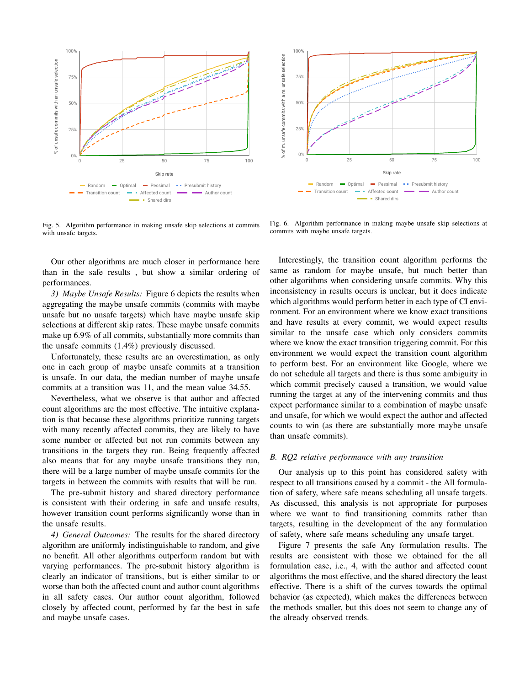

Fig. 5. Algorithm performance in making unsafe skip selections at commits with unsafe targets.

Our other algorithms are much closer in performance here than in the safe results , but show a similar ordering of performances.

*3) Maybe Unsafe Results:* Figure 6 depicts the results when aggregating the maybe unsafe commits (commits with maybe unsafe but no unsafe targets) which have maybe unsafe skip selections at different skip rates. These maybe unsafe commits make up 6.9% of all commits, substantially more commits than the unsafe commits (1.4%) previously discussed.

Unfortunately, these results are an overestimation, as only one in each group of maybe unsafe commits at a transition is unsafe. In our data, the median number of maybe unsafe commits at a transition was 11, and the mean value 34.55.

Nevertheless, what we observe is that author and affected count algorithms are the most effective. The intuitive explanation is that because these algorithms prioritize running targets with many recently affected commits, they are likely to have some number or affected but not run commits between any transitions in the targets they run. Being frequently affected also means that for any maybe unsafe transitions they run, there will be a large number of maybe unsafe commits for the targets in between the commits with results that will be run.

The pre-submit history and shared directory performance is consistent with their ordering in safe and unsafe results, however transition count performs significantly worse than in the unsafe results.

*4) General Outcomes:* The results for the shared directory algorithm are uniformly indistinguishable to random, and give no benefit. All other algorithms outperform random but with varying performances. The pre-submit history algorithm is clearly an indicator of transitions, but is either similar to or worse than both the affected count and author count algorithms in all safety cases. Our author count algorithm, followed closely by affected count, performed by far the best in safe and maybe unsafe cases.



Fig. 6. Algorithm performance in making maybe unsafe skip selections at commits with maybe unsafe targets.

Interestingly, the transition count algorithm performs the same as random for maybe unsafe, but much better than other algorithms when considering unsafe commits. Why this inconsistency in results occurs is unclear, but it does indicate which algorithms would perform better in each type of CI environment. For an environment where we know exact transitions and have results at every commit, we would expect results similar to the unsafe case which only considers commits where we know the exact transition triggering commit. For this environment we would expect the transition count algorithm to perform best. For an environment like Google, where we do not schedule all targets and there is thus some ambiguity in which commit precisely caused a transition, we would value running the target at any of the intervening commits and thus expect performance similar to a combination of maybe unsafe and unsafe, for which we would expect the author and affected counts to win (as there are substantially more maybe unsafe than unsafe commits).

#### *B. RQ2 relative performance with any transition*

Our analysis up to this point has considered safety with respect to all transitions caused by a commit - the All formulation of safety, where safe means scheduling all unsafe targets. As discussed, this analysis is not appropriate for purposes where we want to find transitioning commits rather than targets, resulting in the development of the any formulation of safety, where safe means scheduling any unsafe target.

Figure 7 presents the safe Any formulation results. The results are consistent with those we obtained for the all formulation case, i.e., 4, with the author and affected count algorithms the most effective, and the shared directory the least effective. There is a shift of the curves towards the optimal behavior (as expected), which makes the differences between the methods smaller, but this does not seem to change any of the already observed trends.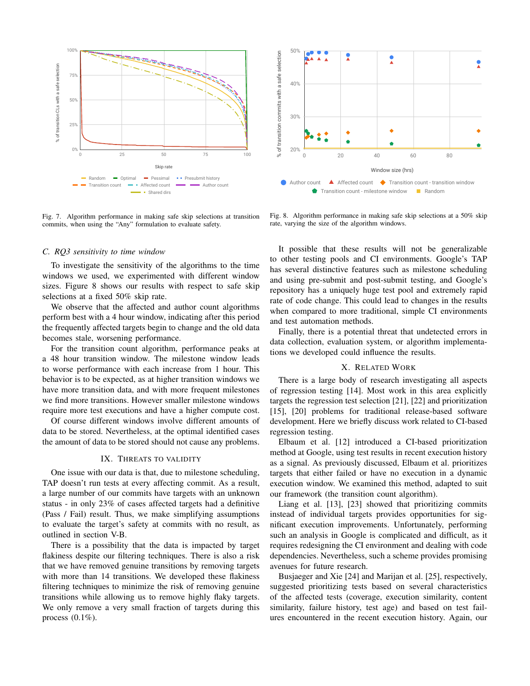

Fig. 7. Algorithm performance in making safe skip selections at transition commits, when using the "Any" formulation to evaluate safety.



Fig. 8. Algorithm performance in making safe skip selections at a 50% skip rate, varying the size of the algorithm windows.

#### *C. RQ3 sensitivity to time window*

To investigate the sensitivity of the algorithms to the time windows we used, we experimented with different window sizes. Figure 8 shows our results with respect to safe skip selections at a fixed 50% skip rate.

We observe that the affected and author count algorithms perform best with a 4 hour window, indicating after this period the frequently affected targets begin to change and the old data becomes stale, worsening performance.

For the transition count algorithm, performance peaks at a 48 hour transition window. The milestone window leads to worse performance with each increase from 1 hour. This behavior is to be expected, as at higher transition windows we have more transition data, and with more frequent milestones we find more transitions. However smaller milestone windows require more test executions and have a higher compute cost.

Of course different windows involve different amounts of data to be stored. Nevertheless, at the optimal identified cases the amount of data to be stored should not cause any problems.

#### IX. THREATS TO VALIDITY

One issue with our data is that, due to milestone scheduling, TAP doesn't run tests at every affecting commit. As a result, a large number of our commits have targets with an unknown status - in only 23% of cases affected targets had a definitive (Pass / Fail) result. Thus, we make simplifying assumptions to evaluate the target's safety at commits with no result, as outlined in section V-B.

There is a possibility that the data is impacted by target flakiness despite our filtering techniques. There is also a risk that we have removed genuine transitions by removing targets with more than 14 transitions. We developed these flakiness filtering techniques to minimize the risk of removing genuine transitions while allowing us to remove highly flaky targets. We only remove a very small fraction of targets during this process (0.1%). Window size (hrs)

It possible that these results will not be generalizable to other testing pools and CI environments. Google's TAP has several distinctive features such as milestone scheduling and using pre-submit and post-submit testing, and Google's repository has a uniquely huge test pool and extremely rapid rate of code change. This could lead to changes in the results when compared to more traditional, simple CI environments and test automation methods.

Finally, there is a potential threat that undetected errors in data collection, evaluation system, or algorithm implementations we developed could influence the results.

#### X. RELATED WORK

There is a large body of research investigating all aspects of regression testing [14]. Most work in this area explicitly targets the regression test selection [21], [22] and prioritization [15], [20] problems for traditional release-based software development. Here we briefly discuss work related to CI-based regression testing.

Elbaum et al. [12] introduced a CI-based prioritization method at Google, using test results in recent execution history as a signal. As previously discussed, Elbaum et al. prioritizes targets that either failed or have no execution in a dynamic execution window. We examined this method, adapted to suit our framework (the transition count algorithm).

Liang et al. [13], [23] showed that prioritizing commits instead of individual targets provides opportunities for significant execution improvements. Unfortunately, performing such an analysis in Google is complicated and difficult, as it requires redesigning the CI environment and dealing with code dependencies. Nevertheless, such a scheme provides promising avenues for future research.

Busjaeger and Xie [24] and Marijan et al. [25], respectively, suggested prioritizing tests based on several characteristics of the affected tests (coverage, execution similarity, content similarity, failure history, test age) and based on test failures encountered in the recent execution history. Again, our